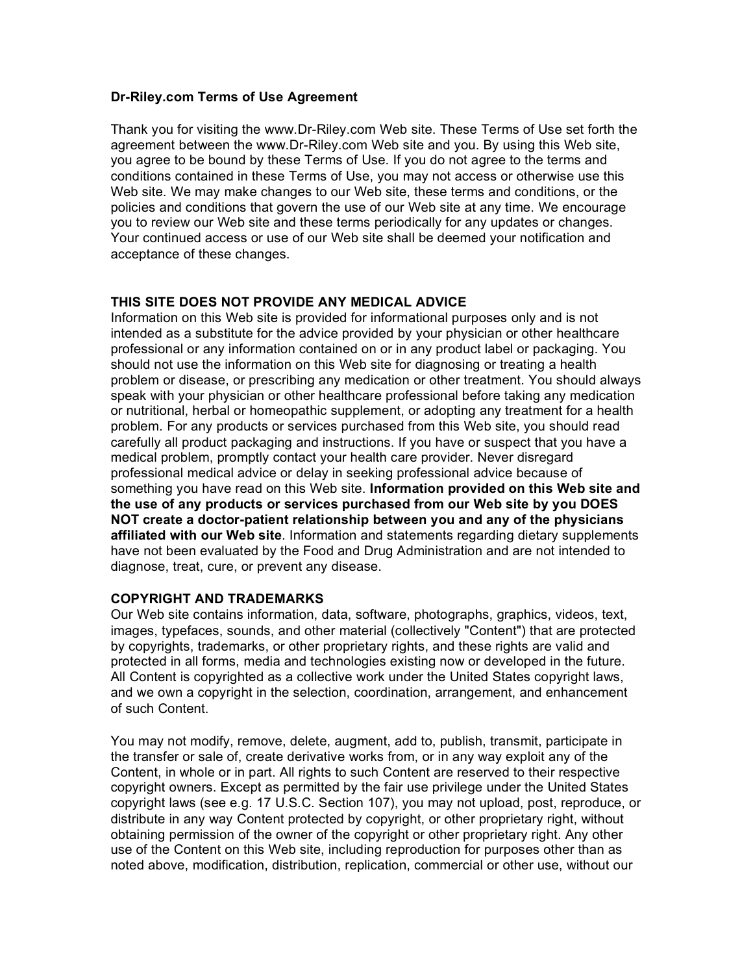#### **Dr-Riley.com Terms of Use Agreement**

Thank you for visiting the www.Dr-Riley.com Web site. These Terms of Use set forth the agreement between the www.Dr-Riley.com Web site and you. By using this Web site, you agree to be bound by these Terms of Use. If you do not agree to the terms and conditions contained in these Terms of Use, you may not access or otherwise use this Web site. We may make changes to our Web site, these terms and conditions, or the policies and conditions that govern the use of our Web site at any time. We encourage you to review our Web site and these terms periodically for any updates or changes. Your continued access or use of our Web site shall be deemed your notification and acceptance of these changes.

# **THIS SITE DOES NOT PROVIDE ANY MEDICAL ADVICE**

Information on this Web site is provided for informational purposes only and is not intended as a substitute for the advice provided by your physician or other healthcare professional or any information contained on or in any product label or packaging. You should not use the information on this Web site for diagnosing or treating a health problem or disease, or prescribing any medication or other treatment. You should always speak with your physician or other healthcare professional before taking any medication or nutritional, herbal or homeopathic supplement, or adopting any treatment for a health problem. For any products or services purchased from this Web site, you should read carefully all product packaging and instructions. If you have or suspect that you have a medical problem, promptly contact your health care provider. Never disregard professional medical advice or delay in seeking professional advice because of something you have read on this Web site. **Information provided on this Web site and the use of any products or services purchased from our Web site by you DOES NOT create a doctor-patient relationship between you and any of the physicians affiliated with our Web site**. Information and statements regarding dietary supplements have not been evaluated by the Food and Drug Administration and are not intended to diagnose, treat, cure, or prevent any disease.

# **COPYRIGHT AND TRADEMARKS**

Our Web site contains information, data, software, photographs, graphics, videos, text, images, typefaces, sounds, and other material (collectively "Content") that are protected by copyrights, trademarks, or other proprietary rights, and these rights are valid and protected in all forms, media and technologies existing now or developed in the future. All Content is copyrighted as a collective work under the United States copyright laws, and we own a copyright in the selection, coordination, arrangement, and enhancement of such Content.

You may not modify, remove, delete, augment, add to, publish, transmit, participate in the transfer or sale of, create derivative works from, or in any way exploit any of the Content, in whole or in part. All rights to such Content are reserved to their respective copyright owners. Except as permitted by the fair use privilege under the United States copyright laws (see e.g. 17 U.S.C. Section 107), you may not upload, post, reproduce, or distribute in any way Content protected by copyright, or other proprietary right, without obtaining permission of the owner of the copyright or other proprietary right. Any other use of the Content on this Web site, including reproduction for purposes other than as noted above, modification, distribution, replication, commercial or other use, without our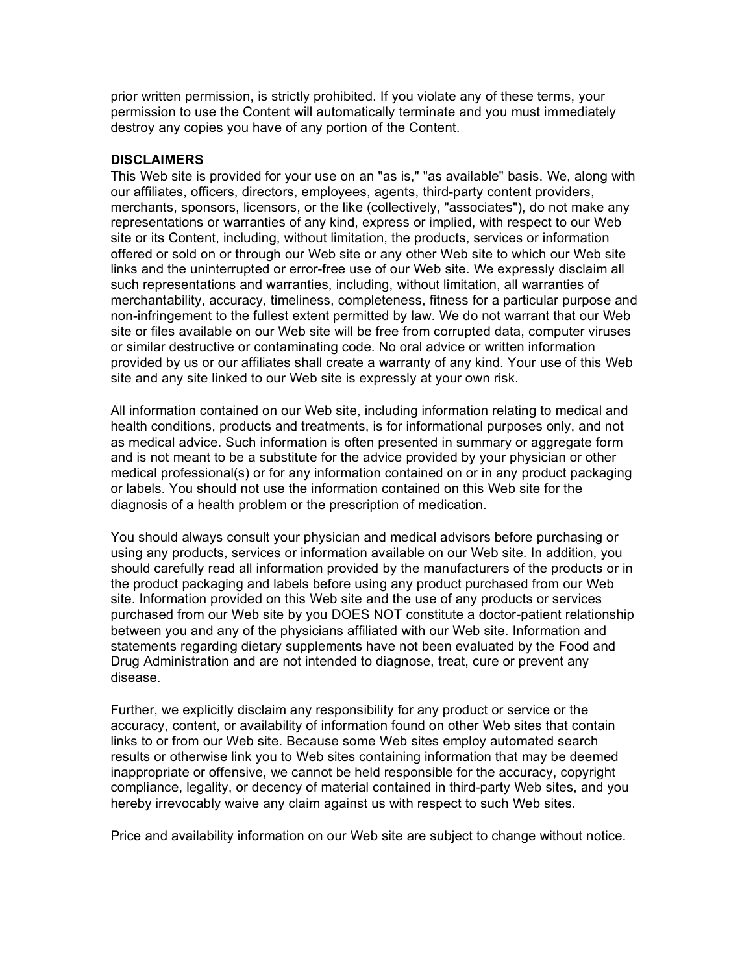prior written permission, is strictly prohibited. If you violate any of these terms, your permission to use the Content will automatically terminate and you must immediately destroy any copies you have of any portion of the Content.

#### **DISCLAIMERS**

This Web site is provided for your use on an "as is," "as available" basis. We, along with our affiliates, officers, directors, employees, agents, third-party content providers, merchants, sponsors, licensors, or the like (collectively, "associates"), do not make any representations or warranties of any kind, express or implied, with respect to our Web site or its Content, including, without limitation, the products, services or information offered or sold on or through our Web site or any other Web site to which our Web site links and the uninterrupted or error-free use of our Web site. We expressly disclaim all such representations and warranties, including, without limitation, all warranties of merchantability, accuracy, timeliness, completeness, fitness for a particular purpose and non-infringement to the fullest extent permitted by law. We do not warrant that our Web site or files available on our Web site will be free from corrupted data, computer viruses or similar destructive or contaminating code. No oral advice or written information provided by us or our affiliates shall create a warranty of any kind. Your use of this Web site and any site linked to our Web site is expressly at your own risk.

All information contained on our Web site, including information relating to medical and health conditions, products and treatments, is for informational purposes only, and not as medical advice. Such information is often presented in summary or aggregate form and is not meant to be a substitute for the advice provided by your physician or other medical professional(s) or for any information contained on or in any product packaging or labels. You should not use the information contained on this Web site for the diagnosis of a health problem or the prescription of medication.

You should always consult your physician and medical advisors before purchasing or using any products, services or information available on our Web site. In addition, you should carefully read all information provided by the manufacturers of the products or in the product packaging and labels before using any product purchased from our Web site. Information provided on this Web site and the use of any products or services purchased from our Web site by you DOES NOT constitute a doctor-patient relationship between you and any of the physicians affiliated with our Web site. Information and statements regarding dietary supplements have not been evaluated by the Food and Drug Administration and are not intended to diagnose, treat, cure or prevent any disease.

Further, we explicitly disclaim any responsibility for any product or service or the accuracy, content, or availability of information found on other Web sites that contain links to or from our Web site. Because some Web sites employ automated search results or otherwise link you to Web sites containing information that may be deemed inappropriate or offensive, we cannot be held responsible for the accuracy, copyright compliance, legality, or decency of material contained in third-party Web sites, and you hereby irrevocably waive any claim against us with respect to such Web sites.

Price and availability information on our Web site are subject to change without notice.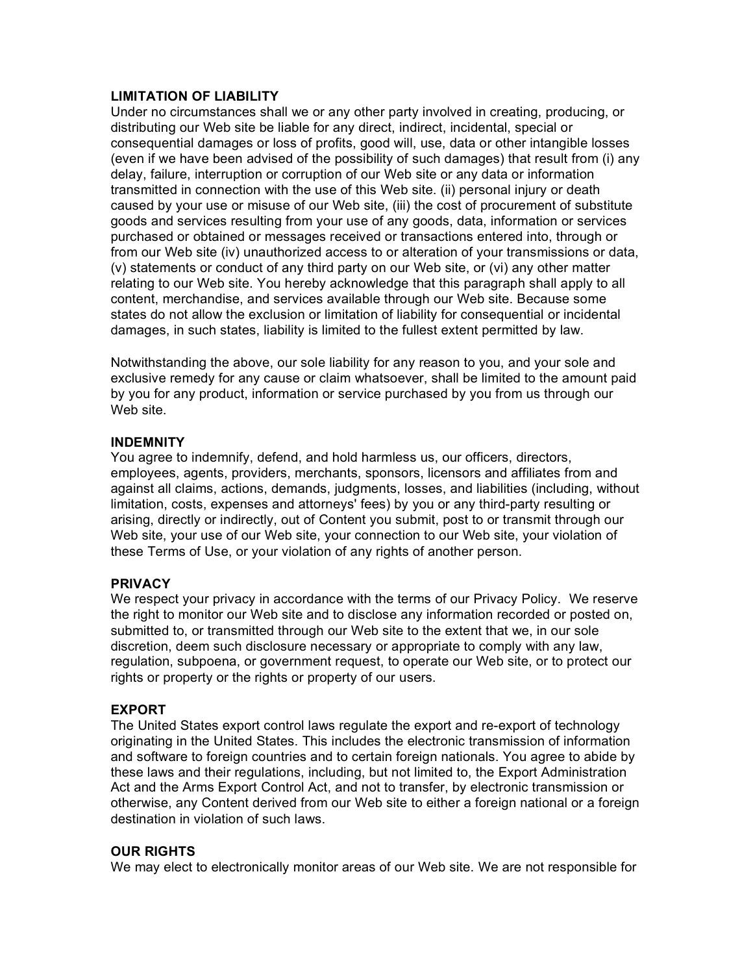# **LIMITATION OF LIABILITY**

Under no circumstances shall we or any other party involved in creating, producing, or distributing our Web site be liable for any direct, indirect, incidental, special or consequential damages or loss of profits, good will, use, data or other intangible losses (even if we have been advised of the possibility of such damages) that result from (i) any delay, failure, interruption or corruption of our Web site or any data or information transmitted in connection with the use of this Web site. (ii) personal injury or death caused by your use or misuse of our Web site, (iii) the cost of procurement of substitute goods and services resulting from your use of any goods, data, information or services purchased or obtained or messages received or transactions entered into, through or from our Web site (iv) unauthorized access to or alteration of your transmissions or data, (v) statements or conduct of any third party on our Web site, or (vi) any other matter relating to our Web site. You hereby acknowledge that this paragraph shall apply to all content, merchandise, and services available through our Web site. Because some states do not allow the exclusion or limitation of liability for consequential or incidental damages, in such states, liability is limited to the fullest extent permitted by law.

Notwithstanding the above, our sole liability for any reason to you, and your sole and exclusive remedy for any cause or claim whatsoever, shall be limited to the amount paid by you for any product, information or service purchased by you from us through our Web site.

#### **INDEMNITY**

You agree to indemnify, defend, and hold harmless us, our officers, directors, employees, agents, providers, merchants, sponsors, licensors and affiliates from and against all claims, actions, demands, judgments, losses, and liabilities (including, without limitation, costs, expenses and attorneys' fees) by you or any third-party resulting or arising, directly or indirectly, out of Content you submit, post to or transmit through our Web site, your use of our Web site, your connection to our Web site, your violation of these Terms of Use, or your violation of any rights of another person.

# **PRIVACY**

We respect your privacy in accordance with the terms of our Privacy Policy. We reserve the right to monitor our Web site and to disclose any information recorded or posted on, submitted to, or transmitted through our Web site to the extent that we, in our sole discretion, deem such disclosure necessary or appropriate to comply with any law, regulation, subpoena, or government request, to operate our Web site, or to protect our rights or property or the rights or property of our users.

#### **EXPORT**

The United States export control laws regulate the export and re-export of technology originating in the United States. This includes the electronic transmission of information and software to foreign countries and to certain foreign nationals. You agree to abide by these laws and their regulations, including, but not limited to, the Export Administration Act and the Arms Export Control Act, and not to transfer, by electronic transmission or otherwise, any Content derived from our Web site to either a foreign national or a foreign destination in violation of such laws.

# **OUR RIGHTS**

We may elect to electronically monitor areas of our Web site. We are not responsible for